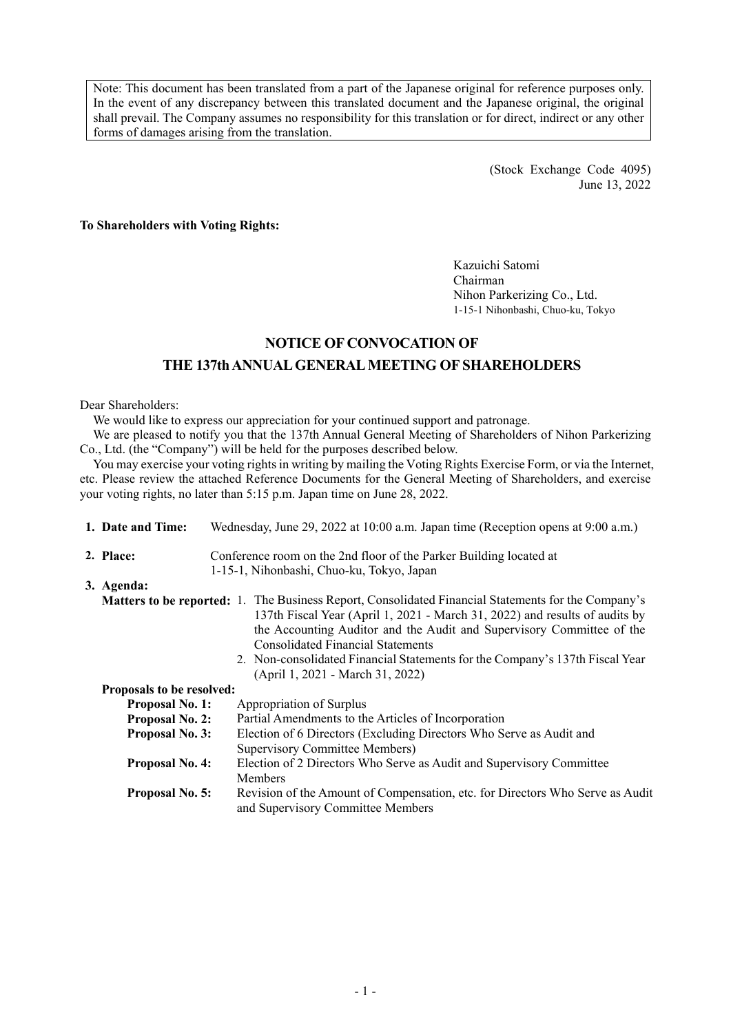Note: This document has been translated from a part of the Japanese original for reference purposes only. In the event of any discrepancy between this translated document and the Japanese original, the original shall prevail. The Company assumes no responsibility for this translation or for direct, indirect or any other forms of damages arising from the translation.

> (Stock Exchange Code 4095) June 13, 2022

**To Shareholders with Voting Rights:** 

Kazuichi Satomi Chairman Nihon Parkerizing Co., Ltd. 1-15-1 Nihonbashi, Chuo-ku, Tokyo

## **NOTICE OF CONVOCATION OF THE 137th ANNUAL GENERAL MEETING OF SHAREHOLDERS**

Dear Shareholders:

We would like to express our appreciation for your continued support and patronage.

We are pleased to notify you that the 137th Annual General Meeting of Shareholders of Nihon Parkerizing Co., Ltd. (the "Company") will be held for the purposes described below.

You may exercise your voting rights in writing by mailing the Voting Rights Exercise Form, or via the Internet, etc. Please review the attached Reference Documents for the General Meeting of Shareholders, and exercise your voting rights, no later than 5:15 p.m. Japan time on June 28, 2022.

|                                           | 1. Date and Time:         | Wednesday, June 29, 2022 at 10:00 a.m. Japan time (Reception opens at 9:00 a.m.)                                                                                                                                                                                                                                                                                                                                                   |  |  |  |  |
|-------------------------------------------|---------------------------|------------------------------------------------------------------------------------------------------------------------------------------------------------------------------------------------------------------------------------------------------------------------------------------------------------------------------------------------------------------------------------------------------------------------------------|--|--|--|--|
|                                           | 2. Place:                 | Conference room on the 2nd floor of the Parker Building located at                                                                                                                                                                                                                                                                                                                                                                 |  |  |  |  |
| 1-15-1, Nihonbashi, Chuo-ku, Tokyo, Japan |                           |                                                                                                                                                                                                                                                                                                                                                                                                                                    |  |  |  |  |
|                                           | 3. Agenda:                |                                                                                                                                                                                                                                                                                                                                                                                                                                    |  |  |  |  |
|                                           |                           | <b>Matters to be reported:</b> 1. The Business Report, Consolidated Financial Statements for the Company's<br>137th Fiscal Year (April 1, 2021 - March 31, 2022) and results of audits by<br>the Accounting Auditor and the Audit and Supervisory Committee of the<br><b>Consolidated Financial Statements</b><br>2. Non-consolidated Financial Statements for the Company's 137th Fiscal Year<br>(April 1, 2021 - March 31, 2022) |  |  |  |  |
|                                           | Proposals to be resolved: |                                                                                                                                                                                                                                                                                                                                                                                                                                    |  |  |  |  |
|                                           | <b>Proposal No. 1:</b>    | Appropriation of Surplus                                                                                                                                                                                                                                                                                                                                                                                                           |  |  |  |  |
|                                           | <b>Proposal No. 2:</b>    | Partial Amendments to the Articles of Incorporation                                                                                                                                                                                                                                                                                                                                                                                |  |  |  |  |
|                                           | <b>Proposal No. 3:</b>    | Election of 6 Directors (Excluding Directors Who Serve as Audit and<br><b>Supervisory Committee Members)</b>                                                                                                                                                                                                                                                                                                                       |  |  |  |  |
|                                           | <b>Proposal No. 4:</b>    | Election of 2 Directors Who Serve as Audit and Supervisory Committee<br><b>Members</b>                                                                                                                                                                                                                                                                                                                                             |  |  |  |  |
|                                           | <b>Proposal No. 5:</b>    | Revision of the Amount of Compensation, etc. for Directors Who Serve as Audit<br>and Supervisory Committee Members                                                                                                                                                                                                                                                                                                                 |  |  |  |  |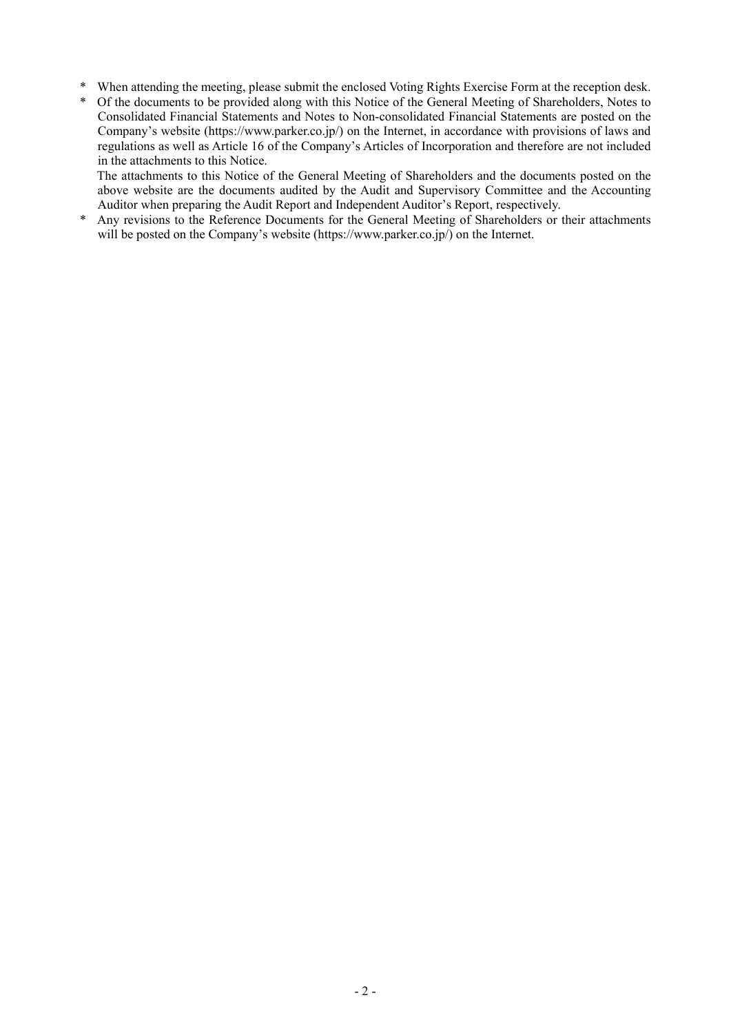- \* When attending the meeting, please submit the enclosed Voting Rights Exercise Form at the reception desk.
- Of the documents to be provided along with this Notice of the General Meeting of Shareholders, Notes to Consolidated Financial Statements and Notes to Non-consolidated Financial Statements are posted on the Company's website (https://www.parker.co.jp/) on the Internet, in accordance with provisions of laws and regulations as well as Article 16 of the Company's Articles of Incorporation and therefore are not included in the attachments to this Notice.

The attachments to this Notice of the General Meeting of Shareholders and the documents posted on the above website are the documents audited by the Audit and Supervisory Committee and the Accounting Auditor when preparing the Audit Report and Independent Auditor's Report, respectively.

\* Any revisions to the Reference Documents for the General Meeting of Shareholders or their attachments will be posted on the Company's website (https://www.parker.co.jp/) on the Internet.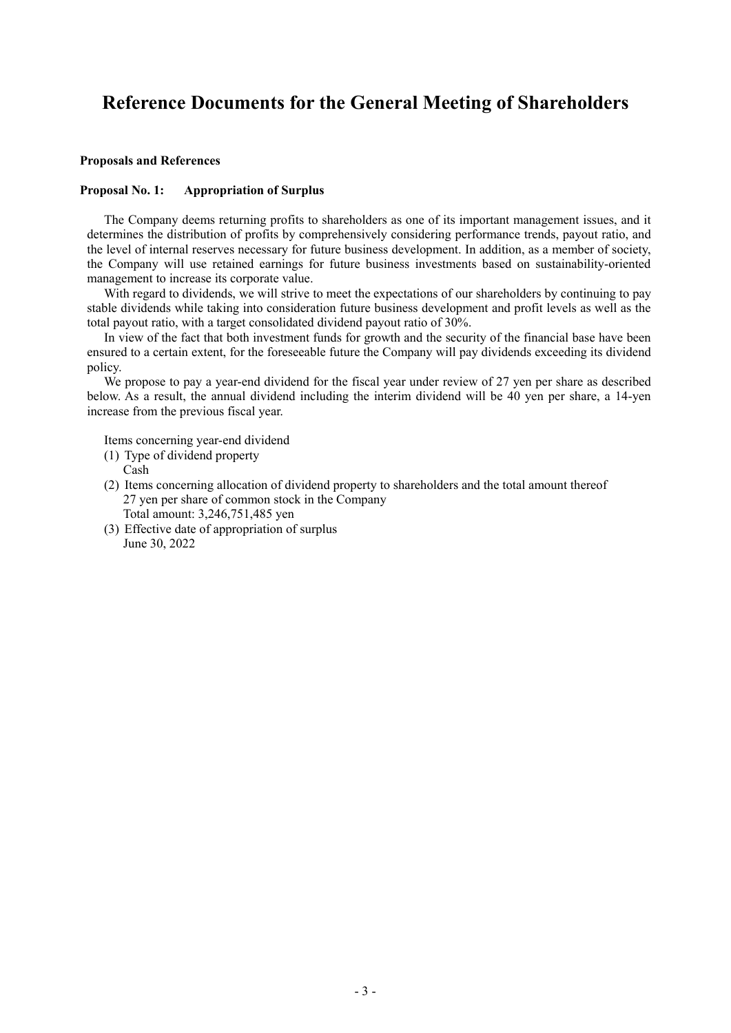# **Reference Documents for the General Meeting of Shareholders**

#### **Proposals and References**

#### **Proposal No. 1: Appropriation of Surplus**

The Company deems returning profits to shareholders as one of its important management issues, and it determines the distribution of profits by comprehensively considering performance trends, payout ratio, and the level of internal reserves necessary for future business development. In addition, as a member of society, the Company will use retained earnings for future business investments based on sustainability-oriented management to increase its corporate value.

With regard to dividends, we will strive to meet the expectations of our shareholders by continuing to pay stable dividends while taking into consideration future business development and profit levels as well as the total payout ratio, with a target consolidated dividend payout ratio of 30%.

In view of the fact that both investment funds for growth and the security of the financial base have been ensured to a certain extent, for the foreseeable future the Company will pay dividends exceeding its dividend policy.

We propose to pay a year-end dividend for the fiscal year under review of 27 yen per share as described below. As a result, the annual dividend including the interim dividend will be 40 yen per share, a 14-yen increase from the previous fiscal year.

Items concerning year-end dividend

(1) Type of dividend property

Cash

- (2) Items concerning allocation of dividend property to shareholders and the total amount thereof 27 yen per share of common stock in the Company Total amount: 3,246,751,485 yen
- (3) Effective date of appropriation of surplus June 30, 2022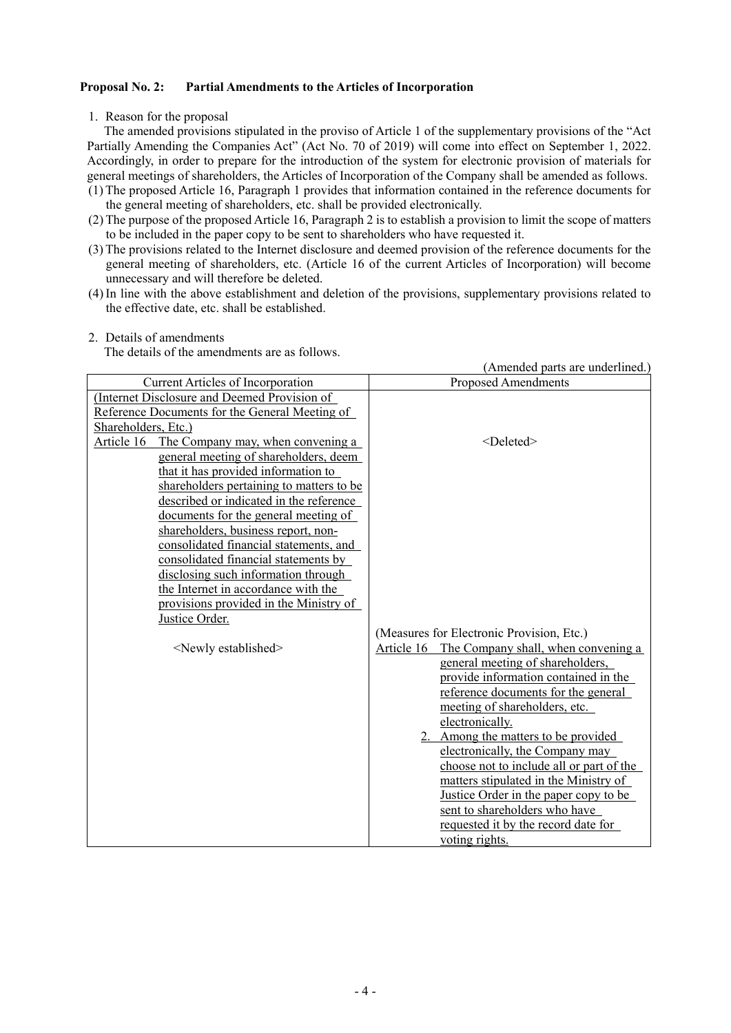### **Proposal No. 2: Partial Amendments to the Articles of Incorporation**

1. Reason for the proposal

The amended provisions stipulated in the proviso of Article 1 of the supplementary provisions of the "Act Partially Amending the Companies Act" (Act No. 70 of 2019) will come into effect on September 1, 2022. Accordingly, in order to prepare for the introduction of the system for electronic provision of materials for general meetings of shareholders, the Articles of Incorporation of the Company shall be amended as follows.

- (1) The proposed Article 16, Paragraph 1 provides that information contained in the reference documents for the general meeting of shareholders, etc. shall be provided electronically.
- (2) The purpose of the proposed Article 16, Paragraph 2 is to establish a provision to limit the scope of matters to be included in the paper copy to be sent to shareholders who have requested it.
- (3) The provisions related to the Internet disclosure and deemed provision of the reference documents for the general meeting of shareholders, etc. (Article 16 of the current Articles of Incorporation) will become unnecessary and will therefore be deleted.
- (4) In line with the above establishment and deletion of the provisions, supplementary provisions related to the effective date, etc. shall be established.

#### 2. Details of amendments

The details of the amendments are as follows.

|                                                                             | (Amended parts are underlined.)                   |
|-----------------------------------------------------------------------------|---------------------------------------------------|
| <b>Current Articles of Incorporation</b>                                    | <b>Proposed Amendments</b>                        |
| (Internet Disclosure and Deemed Provision of                                |                                                   |
| Reference Documents for the General Meeting of                              |                                                   |
| Shareholders, Etc.)                                                         |                                                   |
| Article 16<br>The Company may, when convening a                             | <deleted></deleted>                               |
| general meeting of shareholders, deem                                       |                                                   |
| that it has provided information to                                         |                                                   |
| shareholders pertaining to matters to be                                    |                                                   |
| described or indicated in the reference                                     |                                                   |
| documents for the general meeting of                                        |                                                   |
| shareholders, business report, non-                                         |                                                   |
| consolidated financial statements, and                                      |                                                   |
| consolidated financial statements by<br>disclosing such information through |                                                   |
| the Internet in accordance with the                                         |                                                   |
| provisions provided in the Ministry of                                      |                                                   |
| Justice Order.                                                              |                                                   |
|                                                                             | (Measures for Electronic Provision, Etc.)         |
| <newly established=""></newly>                                              | Article 16<br>The Company shall, when convening a |
|                                                                             | general meeting of shareholders,                  |
|                                                                             | provide information contained in the              |
|                                                                             | reference documents for the general               |
|                                                                             | meeting of shareholders, etc.                     |
|                                                                             | electronically.                                   |
|                                                                             | 2. Among the matters to be provided               |
|                                                                             | electronically, the Company may                   |
|                                                                             | choose not to include all or part of the          |
|                                                                             | matters stipulated in the Ministry of             |
|                                                                             | Justice Order in the paper copy to be             |
|                                                                             | sent to shareholders who have                     |
|                                                                             | requested it by the record date for               |
|                                                                             | voting rights.                                    |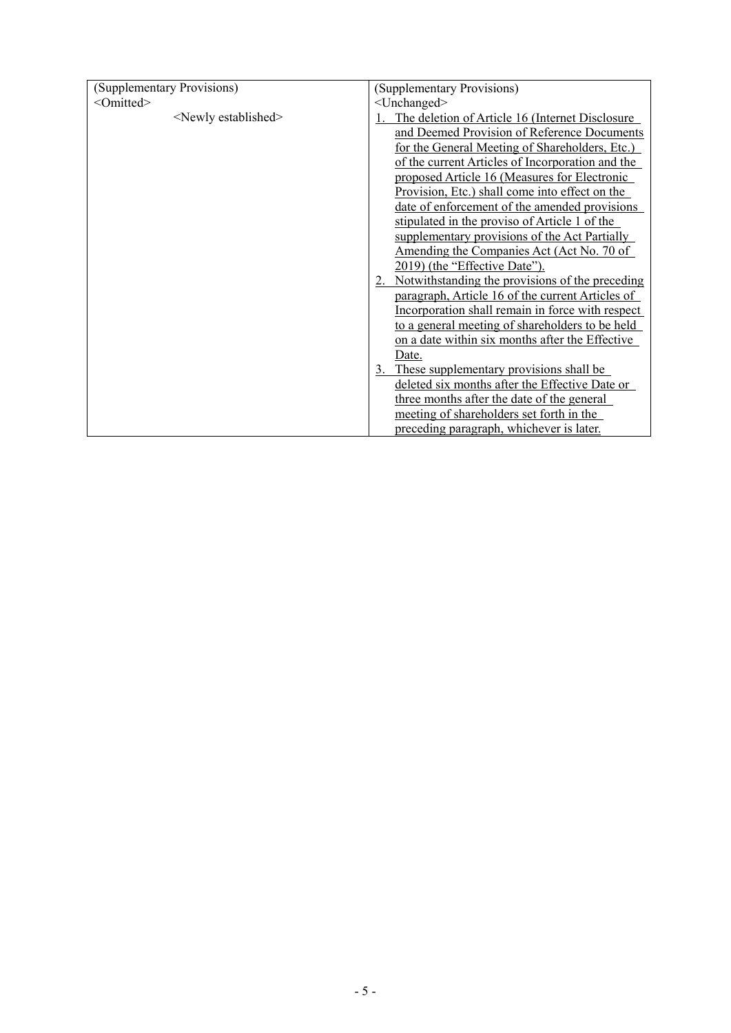| (Supplementary Provisions)     | (Supplementary Provisions)                       |  |  |
|--------------------------------|--------------------------------------------------|--|--|
|                                |                                                  |  |  |
| <omitted></omitted>            | <unchanged></unchanged>                          |  |  |
| <newly established=""></newly> | The deletion of Article 16 (Internet Disclosure  |  |  |
|                                | and Deemed Provision of Reference Documents      |  |  |
|                                | for the General Meeting of Shareholders, Etc.)   |  |  |
|                                | of the current Articles of Incorporation and the |  |  |
|                                | proposed Article 16 (Measures for Electronic     |  |  |
|                                | Provision, Etc.) shall come into effect on the   |  |  |
|                                | date of enforcement of the amended provisions    |  |  |
|                                | stipulated in the proviso of Article 1 of the    |  |  |
|                                | supplementary provisions of the Act Partially    |  |  |
|                                | Amending the Companies Act (Act No. 70 of        |  |  |
|                                | 2019) (the "Effective Date").                    |  |  |
|                                | Notwithstanding the provisions of the preceding  |  |  |
|                                | paragraph, Article 16 of the current Articles of |  |  |
|                                | Incorporation shall remain in force with respect |  |  |
|                                | to a general meeting of shareholders to be held  |  |  |
|                                | on a date within six months after the Effective  |  |  |
|                                | Date.                                            |  |  |
|                                | 3. These supplementary provisions shall be       |  |  |
|                                | deleted six months after the Effective Date or   |  |  |
|                                | three months after the date of the general       |  |  |
|                                | meeting of shareholders set forth in the         |  |  |
|                                | preceding paragraph, whichever is later.         |  |  |
|                                |                                                  |  |  |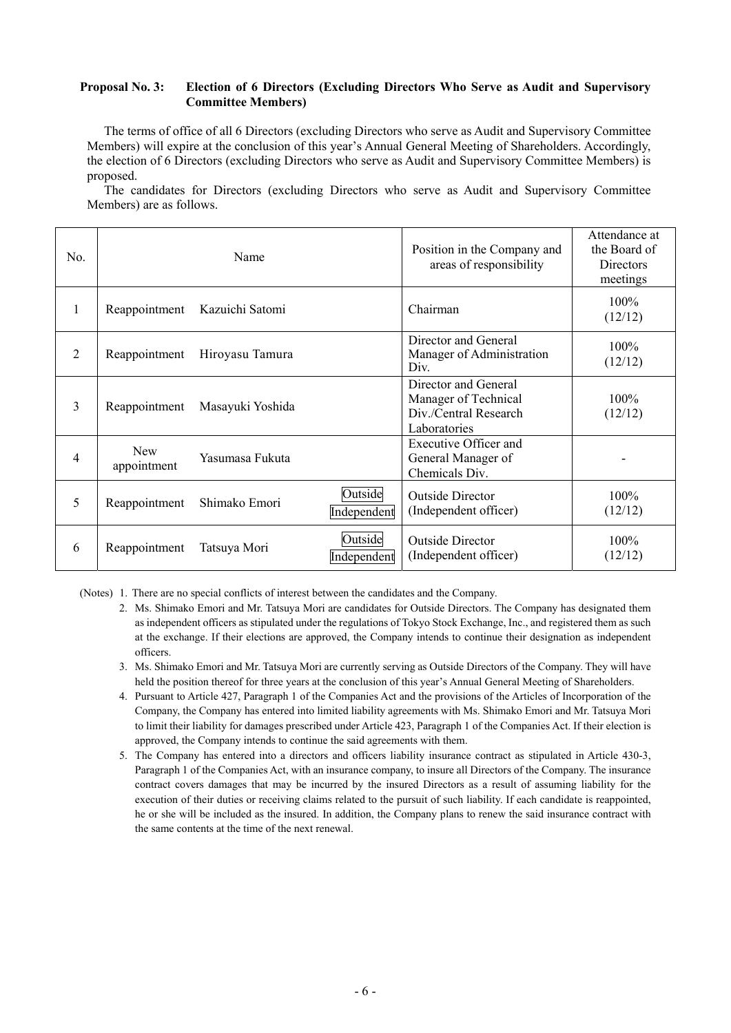#### **Proposal No. 3: Election of 6 Directors (Excluding Directors Who Serve as Audit and Supervisory Committee Members)**

The terms of office of all 6 Directors (excluding Directors who serve as Audit and Supervisory Committee Members) will expire at the conclusion of this year's Annual General Meeting of Shareholders. Accordingly, the election of 6 Directors (excluding Directors who serve as Audit and Supervisory Committee Members) is proposed.

The candidates for Directors (excluding Directors who serve as Audit and Supervisory Committee Members) are as follows.

| No.            |                           | Name             | Position in the Company and<br>areas of responsibility | Attendance at<br>the Board of<br>Directors<br>meetings                                |                    |
|----------------|---------------------------|------------------|--------------------------------------------------------|---------------------------------------------------------------------------------------|--------------------|
| 1              | Reappointment             | Kazuichi Satomi  |                                                        | Chairman                                                                              | $100\%$<br>(12/12) |
| $\overline{2}$ | Reappointment             | Hiroyasu Tamura  |                                                        | Director and General<br>Manager of Administration<br>Div.                             | $100\%$<br>(12/12) |
| 3              | Reappointment             | Masayuki Yoshida |                                                        | Director and General<br>Manager of Technical<br>Div./Central Research<br>Laboratories | $100\%$<br>(12/12) |
| 4              | <b>New</b><br>appointment | Yasumasa Fukuta  |                                                        | Executive Officer and<br>General Manager of<br>Chemicals Div.                         |                    |
| 5              | Reappointment             | Shimako Emori    | Outside<br>Independent                                 | <b>Outside Director</b><br>(Independent officer)                                      | $100\%$<br>(12/12) |
| 6              | Reappointment             | Tatsuya Mori     | Outside<br>Independent                                 | Outside Director<br>(Independent officer)                                             | $100\%$<br>(12/12) |

(Notes) 1. There are no special conflicts of interest between the candidates and the Company.

- 2. Ms. Shimako Emori and Mr. Tatsuya Mori are candidates for Outside Directors. The Company has designated them as independent officers as stipulated under the regulations of Tokyo Stock Exchange, Inc., and registered them as such at the exchange. If their elections are approved, the Company intends to continue their designation as independent officers.
- 3. Ms. Shimako Emori and Mr. Tatsuya Mori are currently serving as Outside Directors of the Company. They will have held the position thereof for three years at the conclusion of this year's Annual General Meeting of Shareholders.
- 4. Pursuant to Article 427, Paragraph 1 of the Companies Act and the provisions of the Articles of Incorporation of the Company, the Company has entered into limited liability agreements with Ms. Shimako Emori and Mr. Tatsuya Mori to limit their liability for damages prescribed under Article 423, Paragraph 1 of the Companies Act. If their election is approved, the Company intends to continue the said agreements with them.
- 5. The Company has entered into a directors and officers liability insurance contract as stipulated in Article 430-3, Paragraph 1 of the Companies Act, with an insurance company, to insure all Directors of the Company. The insurance contract covers damages that may be incurred by the insured Directors as a result of assuming liability for the execution of their duties or receiving claims related to the pursuit of such liability. If each candidate is reappointed, he or she will be included as the insured. In addition, the Company plans to renew the said insurance contract with the same contents at the time of the next renewal.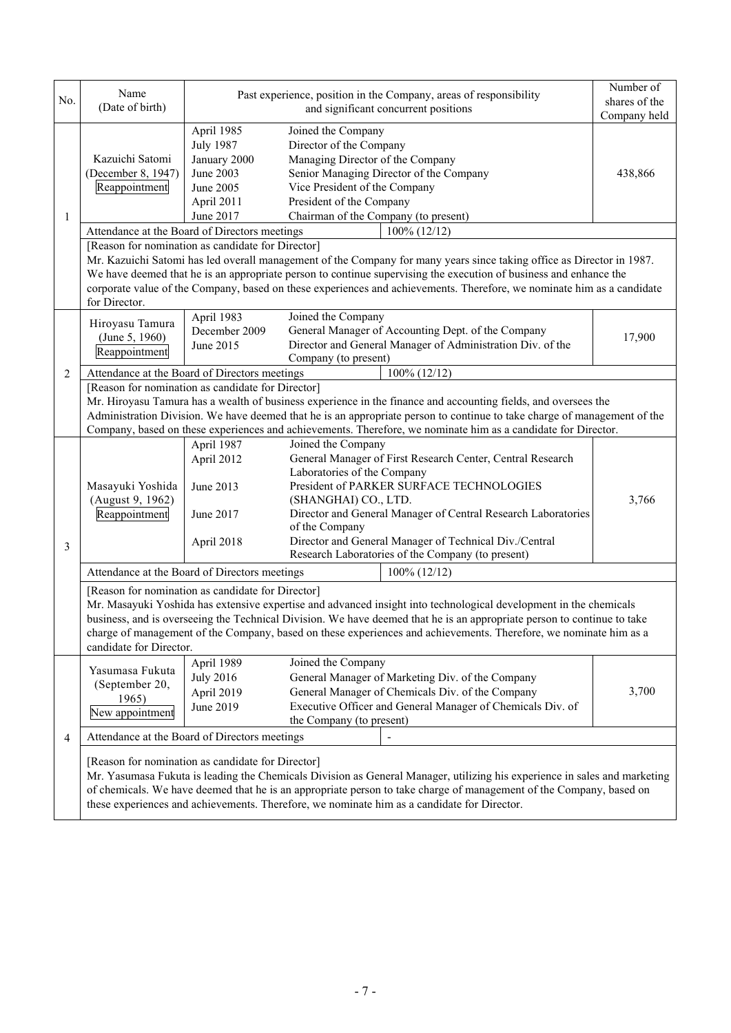| No.            | Name<br>(Date of birth)                                                                                                                                                                                                                                                                                                                                                                                                                                                                                               | Past experience, position in the Company, areas of responsibility                                   | Number of<br>shares of the<br>Company held                                                                                                                                                                                                                                                                                                                                            |         |  |  |
|----------------|-----------------------------------------------------------------------------------------------------------------------------------------------------------------------------------------------------------------------------------------------------------------------------------------------------------------------------------------------------------------------------------------------------------------------------------------------------------------------------------------------------------------------|-----------------------------------------------------------------------------------------------------|---------------------------------------------------------------------------------------------------------------------------------------------------------------------------------------------------------------------------------------------------------------------------------------------------------------------------------------------------------------------------------------|---------|--|--|
| 1              | Kazuichi Satomi<br>(December 8, 1947)<br>Reappointment                                                                                                                                                                                                                                                                                                                                                                                                                                                                | April 1985<br><b>July 1987</b><br>January 2000<br>June 2003<br>June 2005<br>April 2011<br>June 2017 | Joined the Company<br>Director of the Company<br>Managing Director of the Company<br>Senior Managing Director of the Company<br>Vice President of the Company<br>President of the Company<br>Chairman of the Company (to present)                                                                                                                                                     | 438,866 |  |  |
|                | Attendance at the Board of Directors meetings<br>$100\%$ (12/12)<br>[Reason for nomination as candidate for Director]<br>Mr. Kazuichi Satomi has led overall management of the Company for many years since taking office as Director in 1987.<br>We have deemed that he is an appropriate person to continue supervising the execution of business and enhance the<br>corporate value of the Company, based on these experiences and achievements. Therefore, we nominate him as a candidate<br>for Director.        |                                                                                                     |                                                                                                                                                                                                                                                                                                                                                                                       |         |  |  |
|                | Hiroyasu Tamura<br>(June 5, 1960)<br>Reappointment                                                                                                                                                                                                                                                                                                                                                                                                                                                                    | April 1983<br>December 2009<br>June 2015                                                            | Joined the Company<br>General Manager of Accounting Dept. of the Company<br>Director and General Manager of Administration Div. of the<br>Company (to present)                                                                                                                                                                                                                        | 17,900  |  |  |
| $\overline{2}$ | 100% (12/12)<br>Attendance at the Board of Directors meetings<br>[Reason for nomination as candidate for Director]<br>Mr. Hiroyasu Tamura has a wealth of business experience in the finance and accounting fields, and oversees the<br>Administration Division. We have deemed that he is an appropriate person to continue to take charge of management of the<br>Company, based on these experiences and achievements. Therefore, we nominate him as a candidate for Director.                                     |                                                                                                     |                                                                                                                                                                                                                                                                                                                                                                                       |         |  |  |
| 3              | Masayuki Yoshida<br>(August 9, 1962)<br>Reappointment                                                                                                                                                                                                                                                                                                                                                                                                                                                                 | April 1987<br>April 2012<br>June 2013<br>June 2017<br>April 2018                                    | Joined the Company<br>General Manager of First Research Center, Central Research<br>Laboratories of the Company<br>President of PARKER SURFACE TECHNOLOGIES<br>(SHANGHAI) CO., LTD.<br>Director and General Manager of Central Research Laboratories<br>of the Company<br>Director and General Manager of Technical Div./Central<br>Research Laboratories of the Company (to present) | 3,766   |  |  |
|                | Attendance at the Board of Directors meetings<br>$100\% (12/12)$<br>[Reason for nomination as candidate for Director]<br>Mr. Masayuki Yoshida has extensive expertise and advanced insight into technological development in the chemicals<br>business, and is overseeing the Technical Division. We have deemed that he is an appropriate person to continue to take<br>charge of management of the Company, based on these experiences and achievements. Therefore, we nominate him as a<br>candidate for Director. |                                                                                                     |                                                                                                                                                                                                                                                                                                                                                                                       |         |  |  |
|                | Yasumasa Fukuta<br>(September 20,<br>1965)<br>New appointment                                                                                                                                                                                                                                                                                                                                                                                                                                                         | April 1989<br><b>July 2016</b><br>April 2019<br>June 2019                                           | Joined the Company<br>General Manager of Marketing Div. of the Company<br>General Manager of Chemicals Div. of the Company<br>Executive Officer and General Manager of Chemicals Div. of<br>the Company (to present)                                                                                                                                                                  | 3,700   |  |  |
| 4              | Attendance at the Board of Directors meetings<br>[Reason for nomination as candidate for Director]<br>Mr. Yasumasa Fukuta is leading the Chemicals Division as General Manager, utilizing his experience in sales and marketing<br>of chemicals. We have deemed that he is an appropriate person to take charge of management of the Company, based on<br>these experiences and achievements. Therefore, we nominate him as a candidate for Director.                                                                 |                                                                                                     |                                                                                                                                                                                                                                                                                                                                                                                       |         |  |  |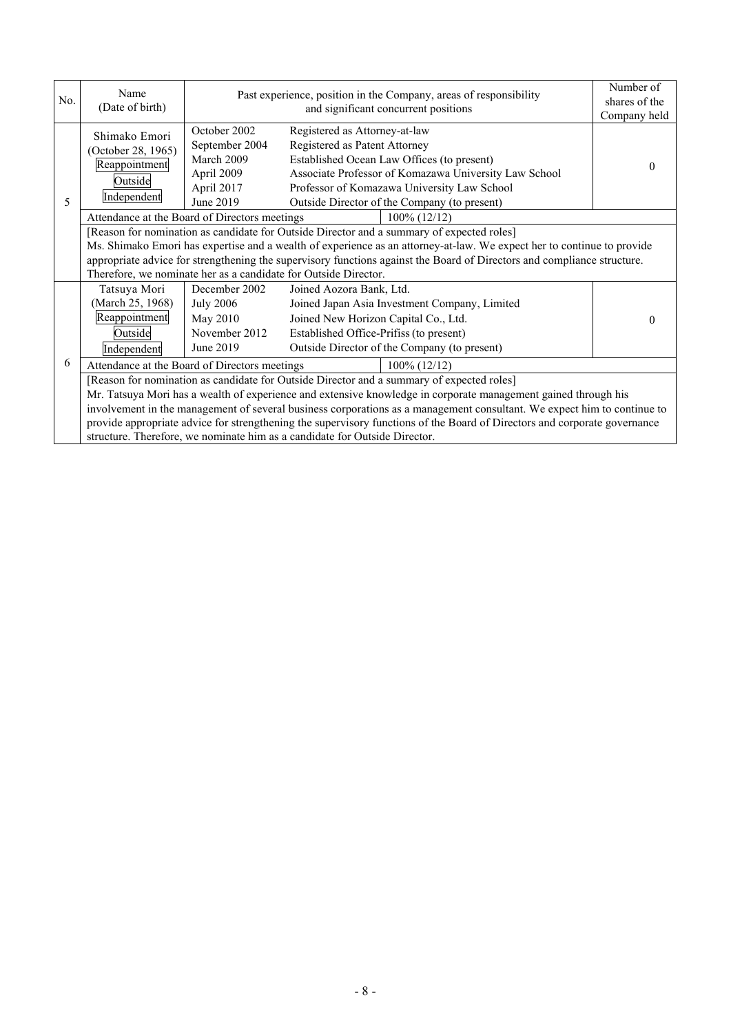| No. | Name<br>(Date of birth)                                                                                                                                                                                                                                                                                                                                                                                                                                                                                                                           | Past experience, position in the Company, areas of responsibility                     | Number of<br>shares of the<br>Company held                                                                                                                                                                                                                           |          |  |  |
|-----|---------------------------------------------------------------------------------------------------------------------------------------------------------------------------------------------------------------------------------------------------------------------------------------------------------------------------------------------------------------------------------------------------------------------------------------------------------------------------------------------------------------------------------------------------|---------------------------------------------------------------------------------------|----------------------------------------------------------------------------------------------------------------------------------------------------------------------------------------------------------------------------------------------------------------------|----------|--|--|
| 5   | Shimako Emori<br>(October 28, 1965)<br>Reappointment<br>Outside<br>Independent                                                                                                                                                                                                                                                                                                                                                                                                                                                                    | October 2002<br>September 2004<br>March 2009<br>April 2009<br>April 2017<br>June 2019 | Registered as Attorney-at-law<br>Registered as Patent Attorney<br>Established Ocean Law Offices (to present)<br>Associate Professor of Komazawa University Law School<br>Professor of Komazawa University Law School<br>Outside Director of the Company (to present) | $\theta$ |  |  |
|     | Attendance at the Board of Directors meetings<br>$100\% (12/12)$                                                                                                                                                                                                                                                                                                                                                                                                                                                                                  |                                                                                       |                                                                                                                                                                                                                                                                      |          |  |  |
|     | [Reason for nomination as candidate for Outside Director and a summary of expected roles]<br>Ms. Shimako Emori has expertise and a wealth of experience as an attorney-at-law. We expect her to continue to provide<br>appropriate advice for strengthening the supervisory functions against the Board of Directors and compliance structure.<br>Therefore, we nominate her as a candidate for Outside Director.                                                                                                                                 |                                                                                       |                                                                                                                                                                                                                                                                      |          |  |  |
|     | Tatsuya Mori<br>(March 25, 1968)<br>Reappointment<br>Outside<br>Independent                                                                                                                                                                                                                                                                                                                                                                                                                                                                       | December 2002<br><b>July 2006</b><br>May 2010<br>November 2012<br>June 2019           | Joined Aozora Bank, Ltd.<br>Joined Japan Asia Investment Company, Limited<br>Joined New Horizon Capital Co., Ltd.<br>Established Office-Prifiss (to present)<br>Outside Director of the Company (to present)                                                         |          |  |  |
| 6   | Attendance at the Board of Directors meetings<br>$100\% (12/12)$                                                                                                                                                                                                                                                                                                                                                                                                                                                                                  |                                                                                       |                                                                                                                                                                                                                                                                      |          |  |  |
|     | [Reason for nomination as candidate for Outside Director and a summary of expected roles]<br>Mr. Tatsuya Mori has a wealth of experience and extensive knowledge in corporate management gained through his<br>involvement in the management of several business corporations as a management consultant. We expect him to continue to<br>provide appropriate advice for strengthening the supervisory functions of the Board of Directors and corporate governance<br>structure. Therefore, we nominate him as a candidate for Outside Director. |                                                                                       |                                                                                                                                                                                                                                                                      |          |  |  |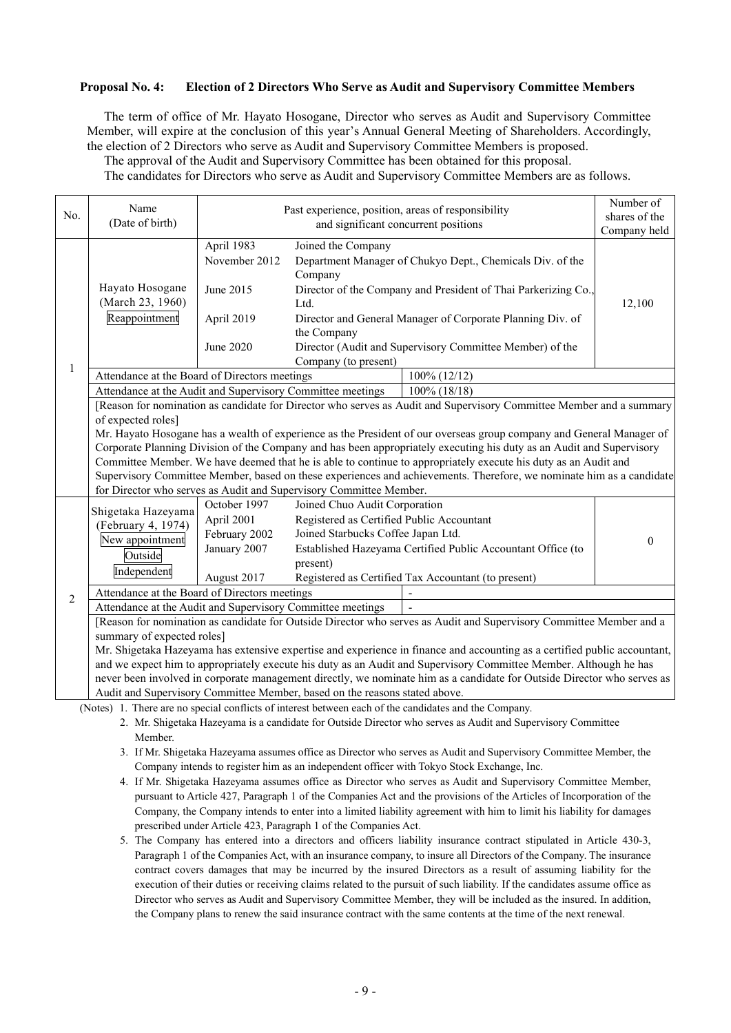#### **Proposal No. 4: Election of 2 Directors Who Serve as Audit and Supervisory Committee Members**

The term of office of Mr. Hayato Hosogane, Director who serves as Audit and Supervisory Committee Member, will expire at the conclusion of this year's Annual General Meeting of Shareholders. Accordingly, the election of 2 Directors who serve as Audit and Supervisory Committee Members is proposed.

The approval of the Audit and Supervisory Committee has been obtained for this proposal.

The candidates for Directors who serve as Audit and Supervisory Committee Members are as follows.

| Name<br>Past experience, position, areas of responsibility<br>No.<br>(Date of birth)<br>and significant concurrent positions<br>April 1983<br>Joined the Company<br>November 2012<br>Department Manager of Chukyo Dept., Chemicals Div. of the<br>Company<br>Hayato Hosogane<br>Director of the Company and President of Thai Parkerizing Co.,<br>June 2015 | shares of the<br>Company held<br>12,100                                                                              |  |  |  |  |  |  |
|-------------------------------------------------------------------------------------------------------------------------------------------------------------------------------------------------------------------------------------------------------------------------------------------------------------------------------------------------------------|----------------------------------------------------------------------------------------------------------------------|--|--|--|--|--|--|
|                                                                                                                                                                                                                                                                                                                                                             |                                                                                                                      |  |  |  |  |  |  |
|                                                                                                                                                                                                                                                                                                                                                             |                                                                                                                      |  |  |  |  |  |  |
|                                                                                                                                                                                                                                                                                                                                                             |                                                                                                                      |  |  |  |  |  |  |
| (March 23, 1960)<br>Ltd.                                                                                                                                                                                                                                                                                                                                    |                                                                                                                      |  |  |  |  |  |  |
| Reappointment<br>April 2019<br>Director and General Manager of Corporate Planning Div. of<br>the Company                                                                                                                                                                                                                                                    |                                                                                                                      |  |  |  |  |  |  |
| Director (Audit and Supervisory Committee Member) of the<br>June 2020                                                                                                                                                                                                                                                                                       |                                                                                                                      |  |  |  |  |  |  |
| Company (to present)<br>$\mathbf{1}$                                                                                                                                                                                                                                                                                                                        |                                                                                                                      |  |  |  |  |  |  |
| Attendance at the Board of Directors meetings<br>100% (12/12)                                                                                                                                                                                                                                                                                               |                                                                                                                      |  |  |  |  |  |  |
| Attendance at the Audit and Supervisory Committee meetings<br>$100\%$ (18/18)                                                                                                                                                                                                                                                                               |                                                                                                                      |  |  |  |  |  |  |
| [Reason for nomination as candidate for Director who serves as Audit and Supervisory Committee Member and a summary                                                                                                                                                                                                                                         |                                                                                                                      |  |  |  |  |  |  |
| of expected roles]                                                                                                                                                                                                                                                                                                                                          |                                                                                                                      |  |  |  |  |  |  |
|                                                                                                                                                                                                                                                                                                                                                             | Mr. Hayato Hosogane has a wealth of experience as the President of our overseas group company and General Manager of |  |  |  |  |  |  |
| Corporate Planning Division of the Company and has been appropriately executing his duty as an Audit and Supervisory                                                                                                                                                                                                                                        |                                                                                                                      |  |  |  |  |  |  |
| Committee Member. We have deemed that he is able to continue to appropriately execute his duty as an Audit and                                                                                                                                                                                                                                              |                                                                                                                      |  |  |  |  |  |  |
| Supervisory Committee Member, based on these experiences and achievements. Therefore, we nominate him as a candidate                                                                                                                                                                                                                                        |                                                                                                                      |  |  |  |  |  |  |
| for Director who serves as Audit and Supervisory Committee Member.                                                                                                                                                                                                                                                                                          |                                                                                                                      |  |  |  |  |  |  |
| October 1997<br>Joined Chuo Audit Corporation<br>Shigetaka Hazeyama                                                                                                                                                                                                                                                                                         |                                                                                                                      |  |  |  |  |  |  |
| April 2001<br>Registered as Certified Public Accountant<br>(February 4, 1974)                                                                                                                                                                                                                                                                               |                                                                                                                      |  |  |  |  |  |  |
| Joined Starbucks Coffee Japan Ltd.<br>February 2002<br>New appointment                                                                                                                                                                                                                                                                                      | $\theta$                                                                                                             |  |  |  |  |  |  |
| January 2007<br>Established Hazeyama Certified Public Accountant Office (to<br>Outside                                                                                                                                                                                                                                                                      |                                                                                                                      |  |  |  |  |  |  |
| present)<br>Independent                                                                                                                                                                                                                                                                                                                                     |                                                                                                                      |  |  |  |  |  |  |
| Registered as Certified Tax Accountant (to present)<br>August 2017                                                                                                                                                                                                                                                                                          |                                                                                                                      |  |  |  |  |  |  |
| Attendance at the Board of Directors meetings<br>$\overline{2}$                                                                                                                                                                                                                                                                                             |                                                                                                                      |  |  |  |  |  |  |
| Attendance at the Audit and Supervisory Committee meetings                                                                                                                                                                                                                                                                                                  |                                                                                                                      |  |  |  |  |  |  |
| [Reason for nomination as candidate for Outside Director who serves as Audit and Supervisory Committee Member and a                                                                                                                                                                                                                                         |                                                                                                                      |  |  |  |  |  |  |
| summary of expected roles]                                                                                                                                                                                                                                                                                                                                  |                                                                                                                      |  |  |  |  |  |  |
| Mr. Shigetaka Hazeyama has extensive expertise and experience in finance and accounting as a certified public accountant,                                                                                                                                                                                                                                   |                                                                                                                      |  |  |  |  |  |  |
| and we expect him to appropriately execute his duty as an Audit and Supervisory Committee Member. Although he has                                                                                                                                                                                                                                           |                                                                                                                      |  |  |  |  |  |  |
| never been involved in corporate management directly, we nominate him as a candidate for Outside Director who serves as                                                                                                                                                                                                                                     |                                                                                                                      |  |  |  |  |  |  |
| Audit and Supervisory Committee Member, based on the reasons stated above.<br>(Notes) 1. There are no special conflicts of interest between each of the candidates and the Company                                                                                                                                                                          |                                                                                                                      |  |  |  |  |  |  |

(Notes) 1. There are no special conflicts of interest between each of the candidates and the Company.

2. Mr. Shigetaka Hazeyama is a candidate for Outside Director who serves as Audit and Supervisory Committee Member.

- 3. If Mr. Shigetaka Hazeyama assumes office as Director who serves as Audit and Supervisory Committee Member, the Company intends to register him as an independent officer with Tokyo Stock Exchange, Inc.
- 4. If Mr. Shigetaka Hazeyama assumes office as Director who serves as Audit and Supervisory Committee Member, pursuant to Article 427, Paragraph 1 of the Companies Act and the provisions of the Articles of Incorporation of the Company, the Company intends to enter into a limited liability agreement with him to limit his liability for damages prescribed under Article 423, Paragraph 1 of the Companies Act.
- 5. The Company has entered into a directors and officers liability insurance contract stipulated in Article 430-3, Paragraph 1 of the Companies Act, with an insurance company, to insure all Directors of the Company. The insurance contract covers damages that may be incurred by the insured Directors as a result of assuming liability for the execution of their duties or receiving claims related to the pursuit of such liability. If the candidates assume office as Director who serves as Audit and Supervisory Committee Member, they will be included as the insured. In addition, the Company plans to renew the said insurance contract with the same contents at the time of the next renewal.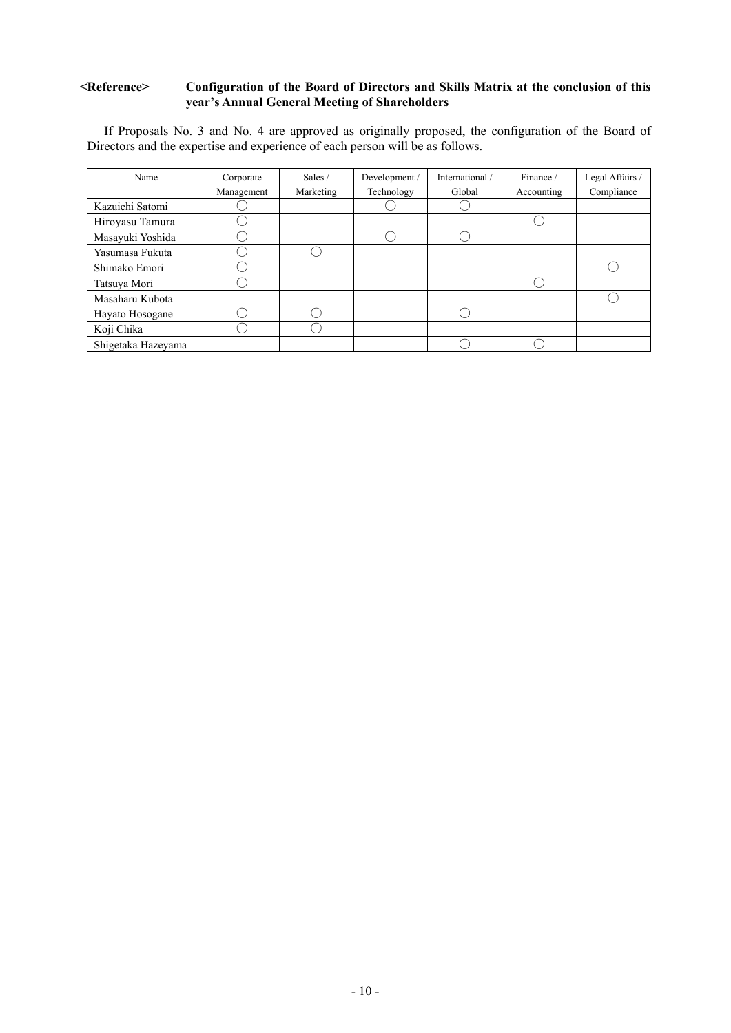#### **<Reference> Configuration of the Board of Directors and Skills Matrix at the conclusion of this year's Annual General Meeting of Shareholders**

If Proposals No. 3 and No. 4 are approved as originally proposed, the configuration of the Board of Directors and the expertise and experience of each person will be as follows.

| Name               | Corporate  | Sales /   | Development / | International / | Finance /  | Legal Affairs / |
|--------------------|------------|-----------|---------------|-----------------|------------|-----------------|
|                    | Management | Marketing | Technology    | Global          | Accounting | Compliance      |
| Kazuichi Satomi    |            |           |               |                 |            |                 |
| Hiroyasu Tamura    |            |           |               |                 |            |                 |
| Masayuki Yoshida   |            |           |               |                 |            |                 |
| Yasumasa Fukuta    |            |           |               |                 |            |                 |
| Shimako Emori      |            |           |               |                 |            |                 |
| Tatsuya Mori       |            |           |               |                 |            |                 |
| Masaharu Kubota    |            |           |               |                 |            |                 |
| Hayato Hosogane    |            |           |               |                 |            |                 |
| Koji Chika         |            |           |               |                 |            |                 |
| Shigetaka Hazeyama |            |           |               |                 |            |                 |